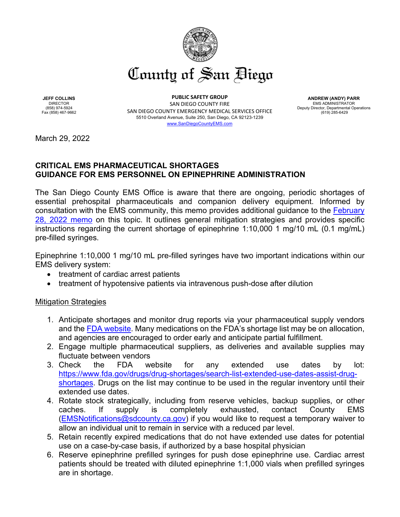

**JEFF COLLINS** DIRECTOR (858) 974-5924 Fax (858) 467-9662

**PUBLIC SAFETY GROUP** SAN DIEGO COUNTY FIRE SAN DIEGO COUNTY EMERGENCY MEDICAL SERVICES OFFICE 5510 Overland Avenue, Suite 250, San Diego, CA 92123-1239

[www.SanDiegoCountyEMS.com](http://www.sandiegocountyems.com/)

**ANDREW (ANDY) PARR** EMS ADMINISTRATOR Deputy Director, Departmental Operations  $(619)$  285-6429

March 29, 2022

## **CRITICAL EMS PHARMACEUTICAL SHORTAGES GUIDANCE FOR EMS PERSONNEL ON EPINEPHRINE ADMINISTRATION**

The San Diego County EMS Office is aware that there are ongoing, periodic shortages of essential prehospital pharmaceuticals and companion delivery equipment. Informed by consultation with the EMS community, this memo provides additional guidance to the [February](https://www.sandiegocounty.gov/content/dam/sdc/ems/Policies_Protocols/memos-and-updates/CoSD%20EMS%20Epinephrine%20Prefilled%20Syringe%20Shortage%20Memo%202%2028%2022.pdf)  [28, 2022 memo](https://www.sandiegocounty.gov/content/dam/sdc/ems/Policies_Protocols/memos-and-updates/CoSD%20EMS%20Epinephrine%20Prefilled%20Syringe%20Shortage%20Memo%202%2028%2022.pdf) on this topic. It outlines general mitigation strategies and provides specific instructions regarding the current shortage of epinephrine 1:10,000 1 mg/10 mL (0.1 mg/mL) pre-filled syringes.

Epinephrine 1:10,000 1 mg/10 mL pre-filled syringes have two important indications within our EMS delivery system:

- treatment of cardiac arrest patients
- treatment of hypotensive patients via intravenous push-dose after dilution

## Mitigation Strategies

- 1. Anticipate shortages and monitor drug reports via your pharmaceutical supply vendors and the [FDA website.](https://www.accessdata.fda.gov/scripts/drugshortages/default.cfm) Many medications on the FDA's shortage list may be on allocation, and agencies are encouraged to order early and anticipate partial fulfillment.
- 2. Engage multiple pharmaceutical suppliers, as deliveries and available supplies may fluctuate between vendors
- 3. Check the FDA website for any extended use dates by lot: [https://www.fda.gov/drugs/drug-shortages/search-list-extended-use-dates-assist-drug](https://www.fda.gov/drugs/drug-shortages/search-list-extended-use-dates-assist-drug-shortages)[shortages.](https://www.fda.gov/drugs/drug-shortages/search-list-extended-use-dates-assist-drug-shortages) Drugs on the list may continue to be used in the regular inventory until their extended use dates.
- 4. Rotate stock strategically, including from reserve vehicles, backup supplies, or other caches. If supply is completely exhausted, contact County EMS [\(EMSNotifications@sdcounty.ca.gov\)](mailto:EMSNotifications@sdcounty.ca.gov) if you would like to request a temporary waiver to allow an individual unit to remain in service with a reduced par level.
- 5. Retain recently expired medications that do not have extended use dates for potential use on a case-by-case basis, if authorized by a base hospital physician
- 6. Reserve epinephrine prefilled syringes for push dose epinephrine use. Cardiac arrest patients should be treated with diluted epinephrine 1:1,000 vials when prefilled syringes are in shortage.